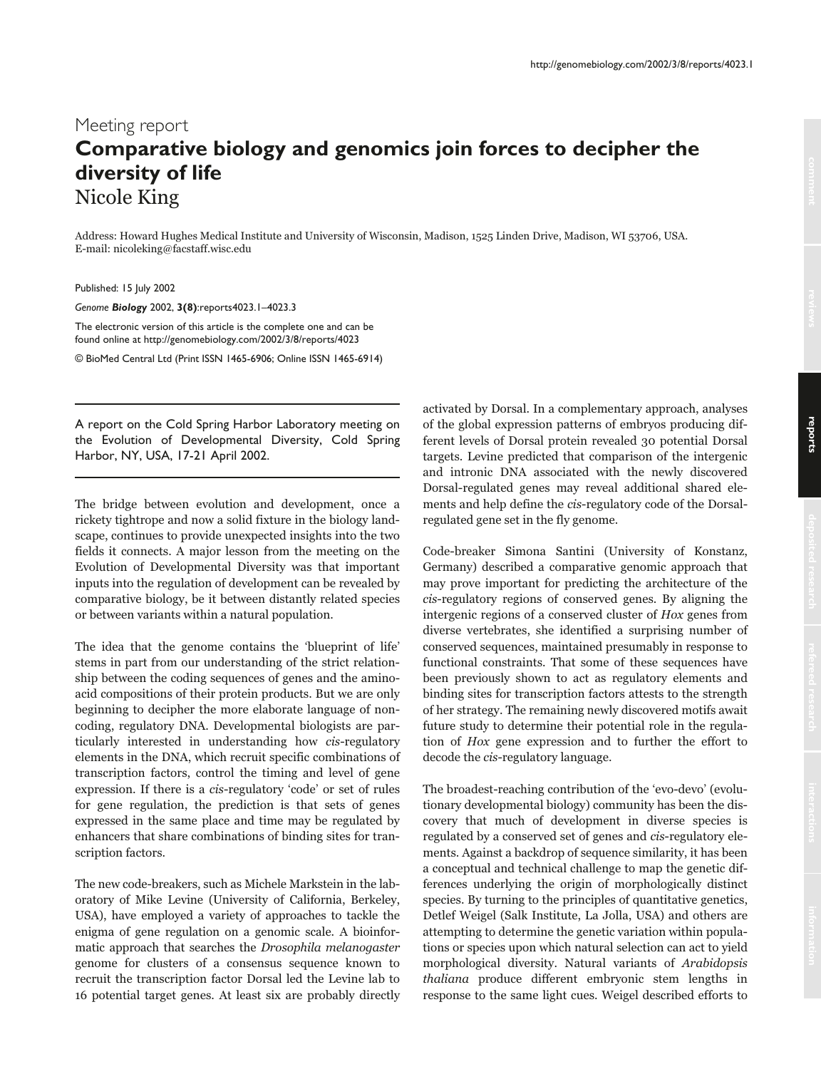## Meeting report **Comparative biology and genomics join forces to decipher the diversity of life** Nicole King

Address: Howard Hughes Medical Institute and University of Wisconsin, Madison, 1525 Linden Drive, Madison, WI 53706, USA. E-mail: nicoleking@facstaff.wisc.edu

Published: 15 July 2002

*Genome Biology* 2002, **3(8)**:reports4023.1–4023.3

The electronic version of this article is the complete one and can be found online at http://genomebiology.com/2002/3/8/reports/4023

© BioMed Central Ltd (Print ISSN 1465-6906; Online ISSN 1465-6914)

A report on the Cold Spring Harbor Laboratory meeting on the Evolution of Developmental Diversity, Cold Spring Harbor, NY, USA, 17-21 April 2002.

The bridge between evolution and development, once a rickety tightrope and now a solid fixture in the biology landscape, continues to provide unexpected insights into the two fields it connects. A major lesson from the meeting on the Evolution of Developmental Diversity was that important inputs into the regulation of development can be revealed by comparative biology, be it between distantly related species or between variants within a natural population.

The idea that the genome contains the 'blueprint of life' stems in part from our understanding of the strict relationship between the coding sequences of genes and the aminoacid compositions of their protein products. But we are only beginning to decipher the more elaborate language of noncoding, regulatory DNA. Developmental biologists are particularly interested in understanding how cis-regulatory elements in the DNA, which recruit specific combinations of transcription factors, control the timing and level of gene expression. If there is a cis-regulatory 'code' or set of rules for gene regulation, the prediction is that sets of genes expressed in the same place and time may be regulated by enhancers that share combinations of binding sites for transcription factors.

The new code-breakers, such as Michele Markstein in the laboratory of Mike Levine (University of California, Berkeley, USA), have employed a variety of approaches to tackle the enigma of gene regulation on a genomic scale. A bioinformatic approach that searches the Drosophila melanogaster genome for clusters of a consensus sequence known to recruit the transcription factor Dorsal led the Levine lab to 16 potential target genes. At least six are probably directly

activated by Dorsal. In a complementary approach, analyses of the global expression patterns of embryos producing different levels of Dorsal protein revealed 30 potential Dorsal targets. Levine predicted that comparison of the intergenic and intronic DNA associated with the newly discovered Dorsal-regulated genes may reveal additional shared elements and help define the cis-regulatory code of the Dorsalregulated gene set in the fly genome.

Code-breaker Simona Santini (University of Konstanz, Germany) described a comparative genomic approach that may prove important for predicting the architecture of the cis-regulatory regions of conserved genes. By aligning the intergenic regions of a conserved cluster of Hox genes from diverse vertebrates, she identified a surprising number of conserved sequences, maintained presumably in response to functional constraints. That some of these sequences have been previously shown to act as regulatory elements and binding sites for transcription factors attests to the strength of her strategy. The remaining newly discovered motifs await future study to determine their potential role in the regulation of Hox gene expression and to further the effort to decode the cis-regulatory language.

The broadest-reaching contribution of the 'evo-devo' (evolutionary developmental biology) community has been the discovery that much of development in diverse species is regulated by a conserved set of genes and cis-regulatory elements. Against a backdrop of sequence similarity, it has been a conceptual and technical challenge to map the genetic differences underlying the origin of morphologically distinct species. By turning to the principles of quantitative genetics, Detlef Weigel (Salk Institute, La Jolla, USA) and others are attempting to determine the genetic variation within populations or species upon which natural selection can act to yield morphological diversity. Natural variants of Arabidopsis thaliana produce different embryonic stem lengths in response to the same light cues. Weigel described efforts to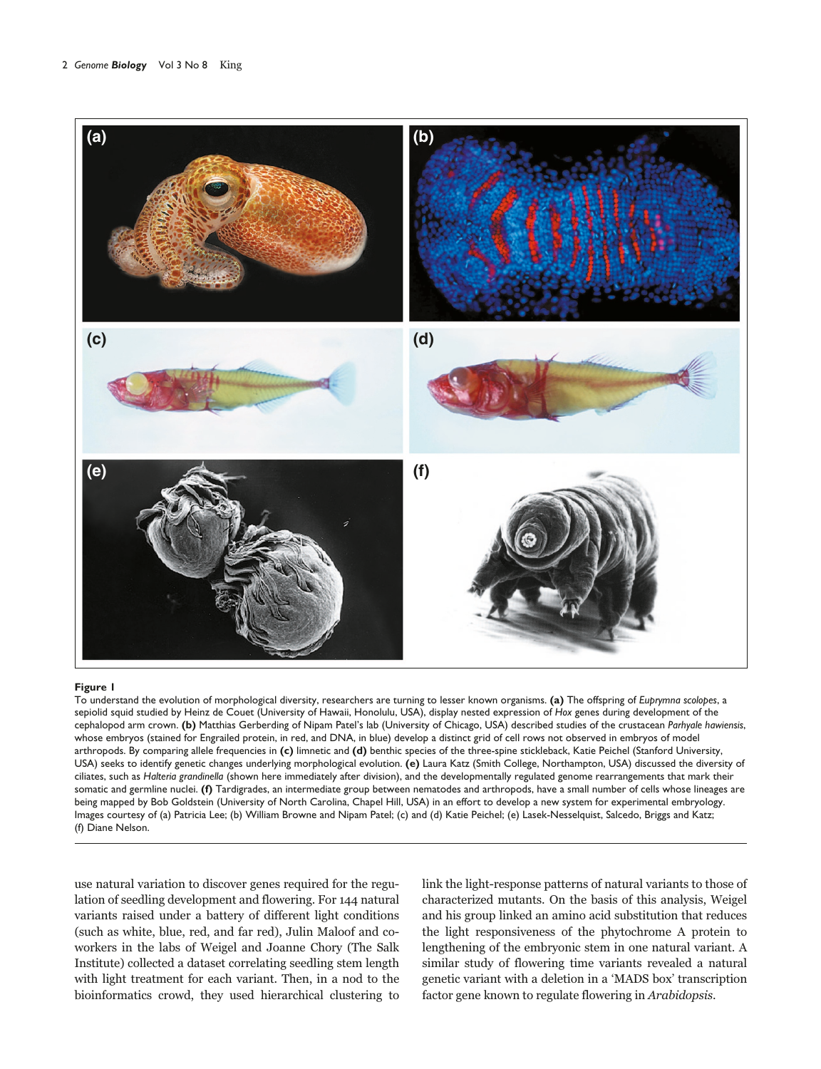

## **Figure 1**

To understand the evolution of morphological diversity, researchers are turning to lesser known organisms. **(a)** The offspring of *Euprymna scolopes*, a sepiolid squid studied by Heinz de Couet (University of Hawaii, Honolulu, USA), display nested expression of *Hox* genes during development of the cephalopod arm crown. **(b)** Matthias Gerberding of Nipam Patel's lab (University of Chicago, USA) described studies of the crustacean *Parhyale hawiensis*, whose embryos (stained for Engrailed protein, in red, and DNA, in blue) develop a distinct grid of cell rows not observed in embryos of model arthropods. By comparing allele frequencies in **(c)** limnetic and **(d)** benthic species of the three-spine stickleback, Katie Peichel (Stanford University, USA) seeks to identify genetic changes underlying morphological evolution. **(e)** Laura Katz (Smith College, Northampton, USA) discussed the diversity of ciliates, such as *Halteria grandinella* (shown here immediately after division), and the developmentally regulated genome rearrangements that mark their somatic and germline nuclei. **(f)** Tardigrades, an intermediate group between nematodes and arthropods, have a small number of cells whose lineages are being mapped by Bob Goldstein (University of North Carolina, Chapel Hill, USA) in an effort to develop a new system for experimental embryology. Images courtesy of (a) Patricia Lee; (b) William Browne and Nipam Patel; (c) and (d) Katie Peichel; (e) Lasek-Nesselquist, Salcedo, Briggs and Katz; (f) Diane Nelson.

use natural variation to discover genes required for the regulation of seedling development and flowering. For 144 natural variants raised under a battery of different light conditions (such as white, blue, red, and far red), Julin Maloof and coworkers in the labs of Weigel and Joanne Chory (The Salk Institute) collected a dataset correlating seedling stem length with light treatment for each variant. Then, in a nod to the bioinformatics crowd, they used hierarchical clustering to link the light-response patterns of natural variants to those of characterized mutants. On the basis of this analysis, Weigel and his group linked an amino acid substitution that reduces the light responsiveness of the phytochrome A protein to lengthening of the embryonic stem in one natural variant. A similar study of flowering time variants revealed a natural genetic variant with a deletion in a 'MADS box' transcription factor gene known to regulate flowering in Arabidopsis.